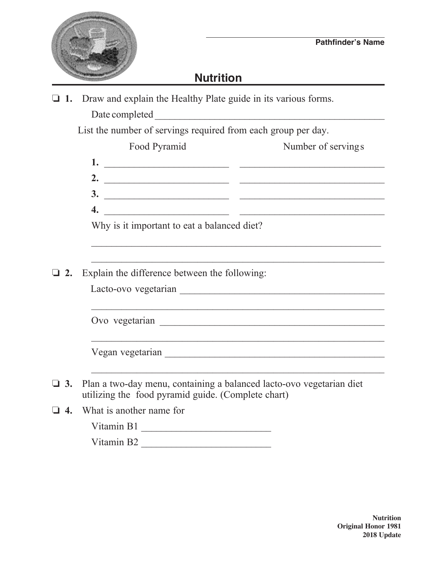## **Nutrition**

**1.** Draw and explain the Healthy Plate guide in its various forms.

Date completed \_\_\_\_\_\_\_\_\_\_\_\_\_\_\_\_\_\_\_\_\_\_\_\_\_\_\_\_\_\_\_\_\_\_\_\_\_\_\_\_\_\_\_\_\_\_

List the number of servings required from each group per day.

|    | Food Pyramid                                                                                                                                                                                                                      | Number of servings                                                                                                    |
|----|-----------------------------------------------------------------------------------------------------------------------------------------------------------------------------------------------------------------------------------|-----------------------------------------------------------------------------------------------------------------------|
|    | $\frac{1}{2}$ . The contract of the contract of the contract of the contract of the contract of the contract of the contract of the contract of the contract of the contract of the contract of the contract of the contract of t |                                                                                                                       |
|    |                                                                                                                                                                                                                                   |                                                                                                                       |
|    |                                                                                                                                                                                                                                   |                                                                                                                       |
|    |                                                                                                                                                                                                                                   |                                                                                                                       |
|    | Why is it important to eat a balanced diet?                                                                                                                                                                                       |                                                                                                                       |
|    |                                                                                                                                                                                                                                   |                                                                                                                       |
| 2. | Explain the difference between the following:                                                                                                                                                                                     |                                                                                                                       |
|    |                                                                                                                                                                                                                                   |                                                                                                                       |
|    |                                                                                                                                                                                                                                   | <u> 1999 - Johann Harry Harry Harry Harry Harry Harry Harry Harry Harry Harry Harry Harry Harry Harry Harry Harry</u> |
|    |                                                                                                                                                                                                                                   |                                                                                                                       |
|    |                                                                                                                                                                                                                                   | and the control of the control of the control of the control of the control of the control of the control of the      |
|    |                                                                                                                                                                                                                                   |                                                                                                                       |
|    |                                                                                                                                                                                                                                   |                                                                                                                       |
|    | $\Box$ 3. Plan a two-day menu, containing a balanced lacto-ovo vegetarian diet<br>utilizing the food pyramid guide. (Complete chart)                                                                                              |                                                                                                                       |
|    | $\Box$ 4. What is another name for                                                                                                                                                                                                |                                                                                                                       |
|    | $\mathbf{V}^{t}$ is $\mathbf{D}^{t}$                                                                                                                                                                                              |                                                                                                                       |

Vitamin B1 \_\_\_\_\_\_\_\_\_\_\_\_\_\_\_\_\_\_\_\_\_\_\_\_\_\_

Vitamin B2 \_\_\_\_\_\_\_\_\_\_\_\_\_\_\_\_\_\_\_\_\_\_\_\_\_\_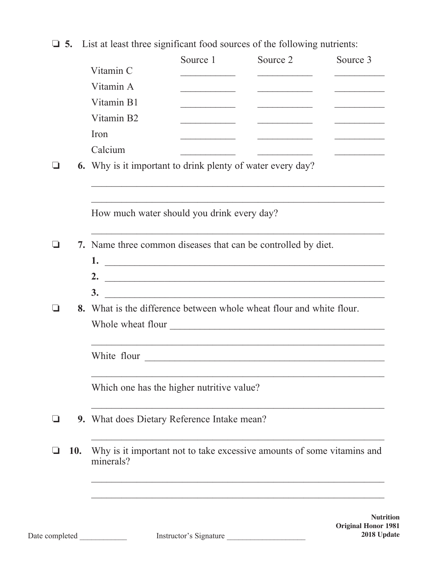$\Box$  **5.** List at least three significant food sources of the following nutrients:

|     | Vitamin C                                                                           | Source 1                                | Source 2                                                                                                                                                                                                                             | Source 3                                                                                                                                                                                                                             |
|-----|-------------------------------------------------------------------------------------|-----------------------------------------|--------------------------------------------------------------------------------------------------------------------------------------------------------------------------------------------------------------------------------------|--------------------------------------------------------------------------------------------------------------------------------------------------------------------------------------------------------------------------------------|
|     | Vitamin A                                                                           |                                         |                                                                                                                                                                                                                                      |                                                                                                                                                                                                                                      |
|     | Vitamin B1                                                                          |                                         | <u> 1965 - Johann Barbara, martxa</u>                                                                                                                                                                                                | <u>and the company of the company of the company of the company of the company of the company of the company of the company of the company of the company of the company of the company of the company of the company of the com</u> |
|     | Vitamin B2                                                                          | <u> 1989 - Johann Barbara, martin a</u> | <u> 1989 - Johann John Harry Harry Harry Harry Harry Harry Harry Harry Harry Harry Harry Harry Harry Harry Harry Harry Harry Harry Harry Harry Harry Harry Harry Harry Harry Harry Harry Harry Harry Harry Harry Harry Harry Har</u> |                                                                                                                                                                                                                                      |
|     | Iron                                                                                |                                         |                                                                                                                                                                                                                                      |                                                                                                                                                                                                                                      |
|     | Calcium                                                                             | <u> 1989 - Johann Barbara, martxa</u>   | <u> 1986 - Johann Stein, fransk politik (</u>                                                                                                                                                                                        |                                                                                                                                                                                                                                      |
|     | <b>6.</b> Why is it important to drink plenty of water every day?                   |                                         |                                                                                                                                                                                                                                      |                                                                                                                                                                                                                                      |
|     |                                                                                     |                                         |                                                                                                                                                                                                                                      |                                                                                                                                                                                                                                      |
|     | How much water should you drink every day?                                          |                                         |                                                                                                                                                                                                                                      |                                                                                                                                                                                                                                      |
|     | 7. Name three common diseases that can be controlled by diet.                       |                                         |                                                                                                                                                                                                                                      |                                                                                                                                                                                                                                      |
|     |                                                                                     |                                         |                                                                                                                                                                                                                                      |                                                                                                                                                                                                                                      |
|     | 2. $\qquad \qquad$                                                                  |                                         |                                                                                                                                                                                                                                      |                                                                                                                                                                                                                                      |
|     | 8. What is the difference between whole wheat flour and white flour.                |                                         |                                                                                                                                                                                                                                      |                                                                                                                                                                                                                                      |
|     |                                                                                     |                                         |                                                                                                                                                                                                                                      |                                                                                                                                                                                                                                      |
|     | White flour                                                                         |                                         | <u> 1989 - Johann Stoff, amerikansk politiker (d. 1989)</u><br><u> 2000 - Jan James James James James James James James James James James James James James James James James Ja</u>                                                 |                                                                                                                                                                                                                                      |
|     | Which one has the higher nutritive value?                                           |                                         |                                                                                                                                                                                                                                      |                                                                                                                                                                                                                                      |
|     | 9. What does Dietary Reference Intake mean?                                         |                                         |                                                                                                                                                                                                                                      |                                                                                                                                                                                                                                      |
| 10. | Why is it important not to take excessive amounts of some vitamins and<br>minerals? |                                         |                                                                                                                                                                                                                                      |                                                                                                                                                                                                                                      |
|     |                                                                                     |                                         |                                                                                                                                                                                                                                      |                                                                                                                                                                                                                                      |
|     |                                                                                     |                                         |                                                                                                                                                                                                                                      |                                                                                                                                                                                                                                      |

**Nutrition Original Honor 1981**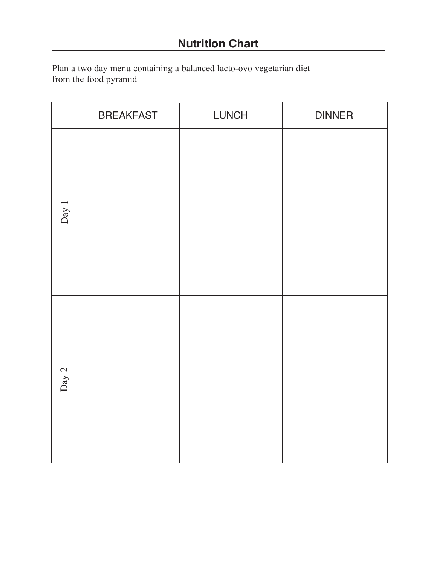Plan a two day menu containing a balanced lacto-ovo vegetarian diet from the food pyramid

|         | <b>BREAKFAST</b> | <b>LUNCH</b> | <b>DINNER</b> |
|---------|------------------|--------------|---------------|
| Day $1$ |                  |              |               |
| Day 2   |                  |              |               |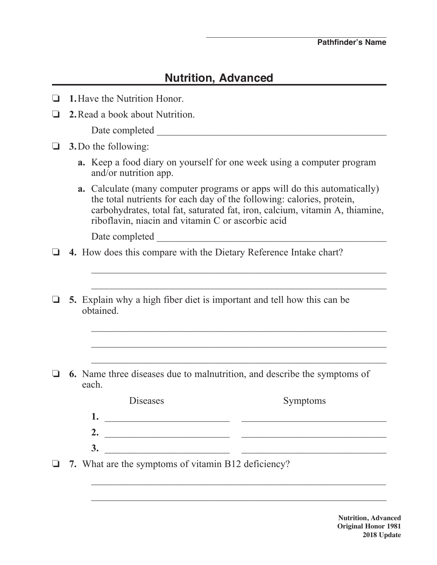## **Nutrition, Advanced**

|  |  | $\Box$ 1. Have the Nutrition Honor. |
|--|--|-------------------------------------|

**2.** Read a book about Nutrition.

Date completed  $\Box$ 

- $\Box$  **3.** Do the following:
	- **a.** Keep a food diary on yourself for one week using a computer program and/or nutrition app.
	- **a.** Calculate (many computer programs or apps will do this automatically) the total nutrients for each day of the following: calories, protein, carbohydrates, total fat, saturated fat, iron, calcium, vitamin A, thiamine, riboflavin, niacin and vitamin C or ascorbic acid

Date completed \_\_\_\_\_\_\_\_\_\_\_\_\_\_\_\_\_\_\_\_\_\_\_\_\_\_\_\_\_\_\_\_\_\_\_\_\_\_\_\_\_\_\_\_\_\_

- **4.** How does this compare with the Dietary Reference Intake chart?
- o **5.** Explain why a high fiber diet is important and tell how this can be obtained.

 $\mathcal{L}_\text{max} = \frac{1}{2} \sum_{i=1}^{n} \frac{1}{2} \sum_{i=1}^{n} \frac{1}{2} \sum_{i=1}^{n} \frac{1}{2} \sum_{i=1}^{n} \frac{1}{2} \sum_{i=1}^{n} \frac{1}{2} \sum_{i=1}^{n} \frac{1}{2} \sum_{i=1}^{n} \frac{1}{2} \sum_{i=1}^{n} \frac{1}{2} \sum_{i=1}^{n} \frac{1}{2} \sum_{i=1}^{n} \frac{1}{2} \sum_{i=1}^{n} \frac{1}{2} \sum_{i=1}^{n} \frac{1$ 

 $\mathcal{L}_\text{max} = \frac{1}{2} \sum_{i=1}^{n} \frac{1}{2} \sum_{i=1}^{n} \frac{1}{2} \sum_{i=1}^{n} \frac{1}{2} \sum_{i=1}^{n} \frac{1}{2} \sum_{i=1}^{n} \frac{1}{2} \sum_{i=1}^{n} \frac{1}{2} \sum_{i=1}^{n} \frac{1}{2} \sum_{i=1}^{n} \frac{1}{2} \sum_{i=1}^{n} \frac{1}{2} \sum_{i=1}^{n} \frac{1}{2} \sum_{i=1}^{n} \frac{1}{2} \sum_{i=1}^{n} \frac{1$ 

 $\mathcal{L}_\text{max} = \frac{1}{2} \sum_{i=1}^n \mathcal{L}_\text{max}(\mathbf{r}_i - \mathbf{r}_i)$ 

 $\mathcal{L}_\text{max} = \frac{1}{2} \sum_{i=1}^{n} \frac{1}{2} \sum_{i=1}^{n} \frac{1}{2} \sum_{i=1}^{n} \frac{1}{2} \sum_{i=1}^{n} \frac{1}{2} \sum_{i=1}^{n} \frac{1}{2} \sum_{i=1}^{n} \frac{1}{2} \sum_{i=1}^{n} \frac{1}{2} \sum_{i=1}^{n} \frac{1}{2} \sum_{i=1}^{n} \frac{1}{2} \sum_{i=1}^{n} \frac{1}{2} \sum_{i=1}^{n} \frac{1}{2} \sum_{i=1}^{n} \frac{1$ 

 $\mathcal{L}_\text{max} = \frac{1}{2} \sum_{i=1}^{n} \frac{1}{2} \sum_{i=1}^{n} \frac{1}{2} \sum_{i=1}^{n} \frac{1}{2} \sum_{i=1}^{n} \frac{1}{2} \sum_{i=1}^{n} \frac{1}{2} \sum_{i=1}^{n} \frac{1}{2} \sum_{i=1}^{n} \frac{1}{2} \sum_{i=1}^{n} \frac{1}{2} \sum_{i=1}^{n} \frac{1}{2} \sum_{i=1}^{n} \frac{1}{2} \sum_{i=1}^{n} \frac{1}{2} \sum_{i=1}^{n} \frac{1$ 

 $\overline{\phantom{a}}$  ,  $\overline{\phantom{a}}$  ,  $\overline{\phantom{a}}$  ,  $\overline{\phantom{a}}$  ,  $\overline{\phantom{a}}$  ,  $\overline{\phantom{a}}$  ,  $\overline{\phantom{a}}$  ,  $\overline{\phantom{a}}$  ,  $\overline{\phantom{a}}$  ,  $\overline{\phantom{a}}$  ,  $\overline{\phantom{a}}$  ,  $\overline{\phantom{a}}$  ,  $\overline{\phantom{a}}$  ,  $\overline{\phantom{a}}$  ,  $\overline{\phantom{a}}$  ,  $\overline{\phantom{a}}$ 

 $\mathcal{L}_\text{max} = \frac{1}{2} \sum_{i=1}^n \mathcal{L}_\text{max}(\mathbf{r}_i - \mathbf{r}_i)$ 

 $\Box$  6. Name three diseases due to malnutrition, and describe the symptoms of each.

| Diseases | Symptoms |
|----------|----------|
|          |          |
|          |          |
|          |          |

□ 7. What are the symptoms of vitamin B12 deficiency?

**Nutrition, Advanced Original Honor 1981 2018 Update**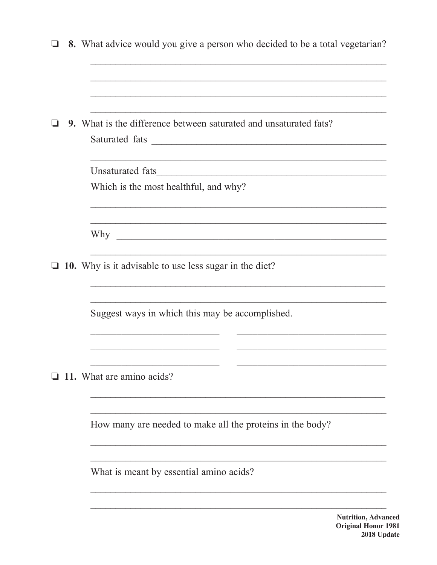| ப      |                                                                          | 8. What advice would you give a person who decided to be a total vegetarian? |
|--------|--------------------------------------------------------------------------|------------------------------------------------------------------------------|
|        |                                                                          |                                                                              |
|        | <b>9.</b> What is the difference between saturated and unsaturated fats? |                                                                              |
|        |                                                                          | <u> 1989 - Johann Stoff, amerikansk politiker (d. 1989)</u>                  |
|        |                                                                          | Which is the most healthful, and why?                                        |
|        |                                                                          |                                                                              |
| $\Box$ |                                                                          | 10. Why is it advisable to use less sugar in the diet?                       |
|        |                                                                          | Suggest ways in which this may be accomplished.                              |
|        |                                                                          | 11. What are amino acids?                                                    |
|        |                                                                          | How many are needed to make all the proteins in the body?                    |
|        |                                                                          | What is meant by essential amino acids?                                      |
|        |                                                                          |                                                                              |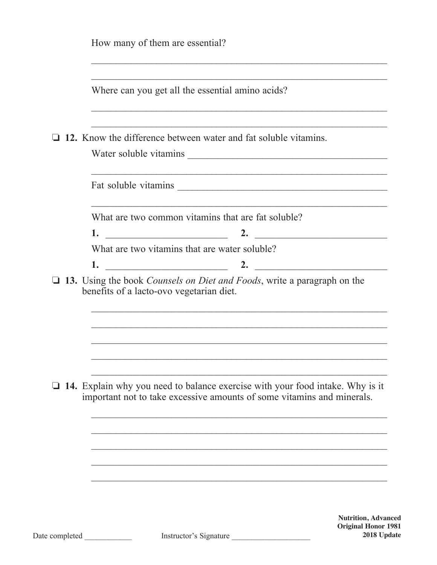|                | How many of them are essential?               |                                                                                                                                                                |                                                          |
|----------------|-----------------------------------------------|----------------------------------------------------------------------------------------------------------------------------------------------------------------|----------------------------------------------------------|
|                |                                               | Where can you get all the essential amino acids?                                                                                                               |                                                          |
|                |                                               | 12. Know the difference between water and fat soluble vitamins.                                                                                                |                                                          |
|                |                                               |                                                                                                                                                                |                                                          |
|                |                                               |                                                                                                                                                                |                                                          |
|                |                                               | What are two common vitamins that are fat soluble?                                                                                                             |                                                          |
|                |                                               |                                                                                                                                                                |                                                          |
|                | What are two vitamins that are water soluble? |                                                                                                                                                                |                                                          |
|                |                                               |                                                                                                                                                                |                                                          |
|                |                                               |                                                                                                                                                                |                                                          |
|                |                                               |                                                                                                                                                                |                                                          |
|                |                                               | $\Box$ 14. Explain why you need to balance exercise with your food intake. Why is it<br>important not to take excessive amounts of some vitamins and minerals. |                                                          |
|                |                                               |                                                                                                                                                                |                                                          |
|                |                                               |                                                                                                                                                                |                                                          |
|                |                                               |                                                                                                                                                                |                                                          |
|                |                                               |                                                                                                                                                                | <b>Nutrition, Advanced</b><br><b>Original Honor 1981</b> |
| Date completed |                                               | Instructor's Signature                                                                                                                                         | 2018 Update                                              |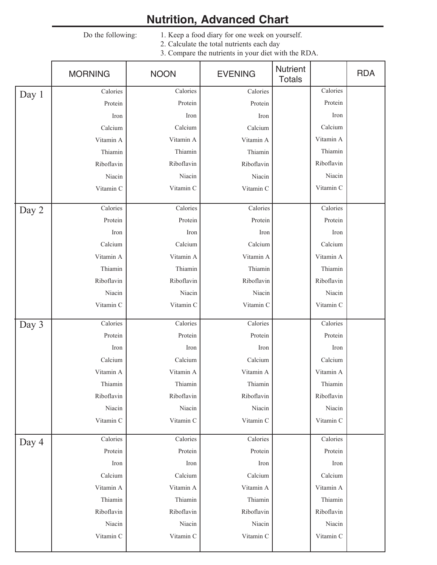## **Nutrition, Advanced Chart**

Do the following: 1. Keep a food diary for one week on yourself. 2. Calculate the total nutrients each day

3. Compare the nutrients in your diet with the RDA.

|       | <b>MORNING</b> | <b>NOON</b> | <b>EVENING</b> | Nutrient<br><b>Totals</b> | <b>RDA</b> |
|-------|----------------|-------------|----------------|---------------------------|------------|
| Day 1 | Calories       | Calories    | Calories       | Calories                  |            |
|       | Protein        | Protein     | Protein        | Protein                   |            |
|       | Iron           | Iron        | Iron           | Iron                      |            |
|       | Calcium        | Calcium     | Calcium        | Calcium                   |            |
|       | Vitamin A      | Vitamin A   | Vitamin A      | Vitamin A                 |            |
|       | Thiamin        | Thiamin     | Thiamin        | Thiamin                   |            |
|       | Riboflavin     | Riboflavin  | Riboflavin     | Riboflavin                |            |
|       | Niacin         | Niacin      | Niacin         | Niacin                    |            |
|       | Vitamin C      | Vitamin C   | Vitamin C      | Vitamin C                 |            |
| Day 2 | Calories       | Calories    | Calories       | Calories                  |            |
|       | Protein        | Protein     | Protein        | Protein                   |            |
|       | Iron           | Iron        | Iron           | Iron                      |            |
|       | Calcium        | Calcium     | Calcium        | Calcium                   |            |
|       | Vitamin A      | Vitamin A   | Vitamin A      | Vitamin A                 |            |
|       | Thiamin        | Thiamin     | Thiamin        | Thiamin                   |            |
|       | Riboflavin     | Riboflavin  | Riboflavin     | Riboflavin                |            |
|       | Niacin         | Niacin      | Niacin         | Niacin                    |            |
|       | Vitamin C      | Vitamin C   | Vitamin C      | Vitamin C                 |            |
| Day 3 | Calories       | Calories    | Calories       | Calories                  |            |
|       | Protein        | Protein     | Protein        | Protein                   |            |
|       | Iron           | Iron        | Iron           | Iron                      |            |
|       | Calcium        | Calcium     | Calcium        | Calcium                   |            |
|       | Vitamin A      | Vitamin A   | Vitamin A      | Vitamin A                 |            |
|       | Thiamin        | Thiamin     | Thiamin        | Thiamin                   |            |
|       | Riboflavin     | Riboflavin  | Riboflavin     | Riboflavin                |            |
|       | Niacin         | Niacin      | Niacin         | Niacin                    |            |
|       | Vitamin C      | Vitamin C   | Vitamin C      | Vitamin C                 |            |
| Day 4 | Calories       | Calories    | Calories       | Calories                  |            |
|       | Protein        | Protein     | Protein        | Protein                   |            |
|       | Iron           | Iron        | Iron           | Iron                      |            |
|       | Calcium        | Calcium     | Calcium        | Calcium                   |            |
|       | Vitamin A      | Vitamin A   | Vitamin A      | Vitamin A                 |            |
|       | Thiamin        | Thiamin     | Thiamin        | Thiamin                   |            |
|       | Riboflavin     | Riboflavin  | Riboflavin     | Riboflavin                |            |
|       | Niacin         | Niacin      | Niacin         | Niacin                    |            |
|       | Vitamin C      | Vitamin C   | Vitamin C      | Vitamin C                 |            |